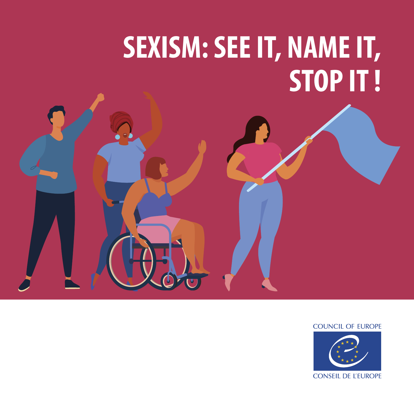# **SEXISM: SEE IT, NAME IT, STOP IT !**



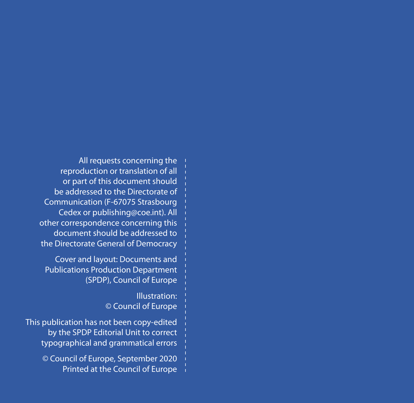All requests concerning the reproduction or translation of all or part of this document should be addressed to the Directorate of Communication (F-67075 Strasbourg Cedex or publishing@coe.int). All other correspondence concerning this document should be addressed to the Directorate General of Democracy

Cover and layout: Documents and Publications Production Department (SPDP), Council of Europe

> Illustration: © Council of Europe

This publication has not been copy-edited by the SPDP Editorial Unit to correct typographical and grammatical errors

> © Council of Europe, September 2020 Printed at the Council of Europe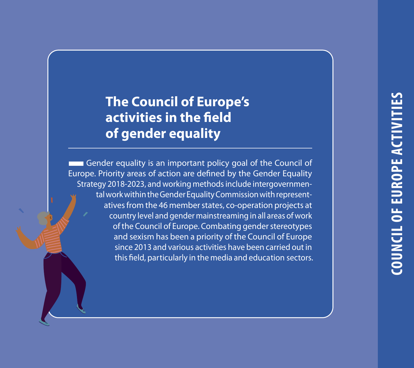# **The Council of Europe's activities in the field of gender equality**

**THE Gender equality is an important policy goal of the Council of** Europe. Priority areas of action are defined by the Gender Equality Strategy 2018-2023, and working methods include intergovernmental work within the Gender Equality Commission with representatives from the 46 member states, co-operation projects at country level and gender mainstreaming in all areas of work of the Council of Europe. Combating gender stereotypes and sexism has been a priority of the Council of Europe since 2013 and various activities have been carried out in this field, particularly in the media and education sectors.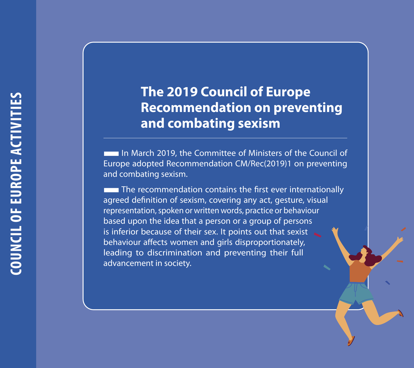# **The 2019 Council of Europe Recommendation on preventing and combating sexism**

**IDE In March 2019, the Committee of Ministers of the Council of** Europe adopted Recommendation CM/Rec(2019)1 on preventing and combating sexism.<br>
■The recommendation contains the first ever internationally

agreed definition of sexism, covering any act, gesture, visual representation, spoken or written words, practice or behaviour based upon the idea that a person or a group of persons is inferior because of their sex. It points out that sexist behaviour affects women and girls disproportionately, leading to discrimination and preventing their full advancement in society.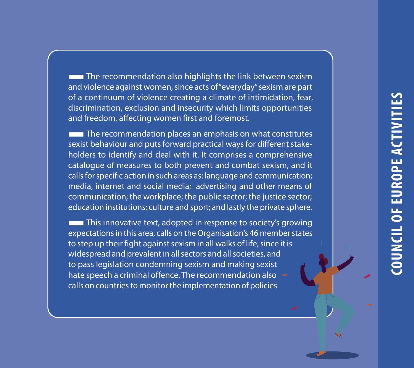**The recommendation also highlights the link between sexism** and violence against women, since acts of "everyday" sexism are part of a continuum of violence creating a climate of intimidation, fear, discrimination, exclusion and insecurity which limits opportunities and freedom, affecting women first and foremost.

 $\blacksquare$  The recommendation places an emphasis on what constitutes sexist behaviour and puts forward practical ways for different stakeholders to identify and deal with it. It comprises a comprehensive catalogue of measures to both prevent and combat sexism, and it calls for specific action in such areas as: language and communication; media, internet and social media; advertising and other means of communication; the workplace; the public sector; the justice sector; education institutions; culture and sport; and lastly the private sphere.

**This innovative text, adopted in response to society's growing** expectations in this area, calls on the Organisation's 46 member states to step up their fight against sexism in all walks of life, since it is widespread and prevalent in all sectors and all societies, and to pass legislation condemning sexism and making sexist hate speech a criminal offence. The recommendation also calls on countries to monitor the implementation of policies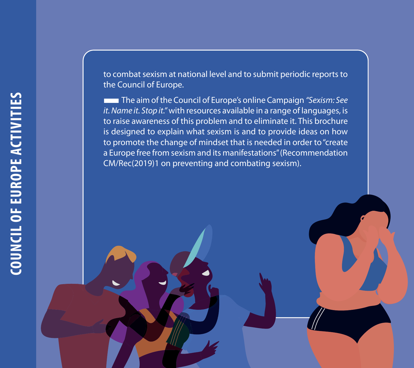to combat sexism at national level and to submit periodic reports to the Council of Europe.<br> **The aim of the Council of Europe's online Campaign** "Sexism: See

*it. Name it. Stop it."* with resources available in a range of languages, is to raise awareness of this problem and to eliminate it. This brochure is designed to explain what sexism is and to provide ideas on how to promote the change of mindset that is needed in order to "create a Europe free from sexism and its manifestations" (Recommendation CM/Rec(2019)1 on preventing and combating sexism).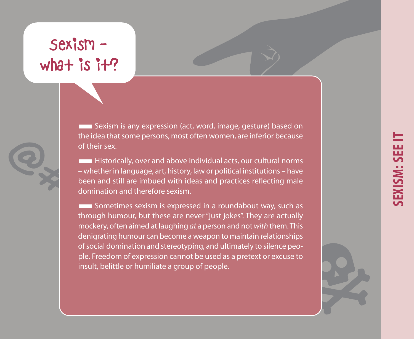# Sexism what is  $i + ?$

■Sexism is any expression (act, word, image, gesture) based on the idea that some persons, most often women, are inferior because of their sex.

**EXTERNAL Historically, over and above individual acts, our cultural norms** – whether in language, art, history, law or political institutions – have been and still are imbued with ideas and practices reflecting male domination and therefore sexism.

**EXCOMEDENT SOMETHINGS SEXISM IS EXPRESSED IN a roundabout way, such as** through humour, but these are never "just jokes". They are actually mockery, often aimed at laughing *at* a person and not *with* them. This denigrating humour can become a weapon to maintain relationships of social domination and stereotyping, and ultimately to silence people. Freedom of expression cannot be used as a pretext or excuse to insult, belittle or humiliate a group of people.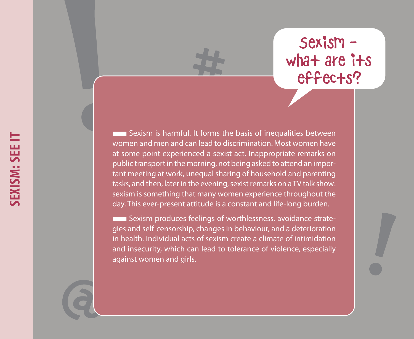# Sexism what are its effects?

**EXALCO EXALCO EXALCO EXA** Sexism is harmful. It forms the basis of inequalities between women and men and can lead to discrimination. Most women have at some point experienced a sexist act. Inappropriate remarks on public transport in the morning, not being asked to attend an important meeting at work, unequal sharing of household and parenting tasks, and then, later in the evening, sexist remarks on a TV talk show: sexism is something that many women experience throughout the day. This ever-present attitude is a constant and life-long burden.

**EXIST Sexism produces feelings of worthlessness, avoidance strate**gies and self-censorship, changes in behaviour, and a deterioration in health. Individual acts of sexism create a climate of intimidation and insecurity, which can lead to tolerance of violence, especially against women and girls.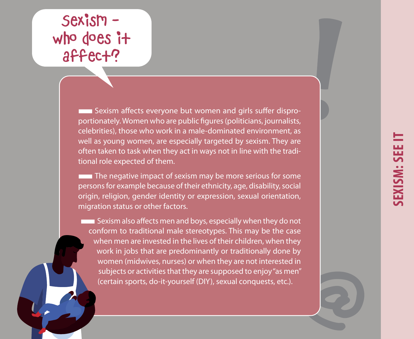# **EXISM: SEE IT**

# Sexism who does it affect?

**THE Sexism affects everyone but women and girls suffer dispro**portionately. Women who are public figures (politicians, journalists, celebrities), those who work in a male-dominated environment, as well as young women, are especially targeted by sexism. They are often taken to task when they act in ways not in line with the traditional role expected of them.

 $\blacksquare$  The negative impact of sexism may be more serious for some persons for example because of their ethnicity, age, disability, social origin, religion, gender identity or expression, sexual orientation, migration status or other factors.

**EXALCE AS EXALCE SEXIST METALLY SEXIST METALLY SEXIST** Sexism also affects men and boys, especially when they do not conform to traditional male stereotypes. This may be the case when men are invested in the lives of their children, when they work in jobs that are predominantly or traditionally done by women (midwives, nurses) or when they are not interested in subjects or activities that they are supposed to enjoy "as men" (certain sports, do-it-yourself (DIY), sexual conquests, etc.).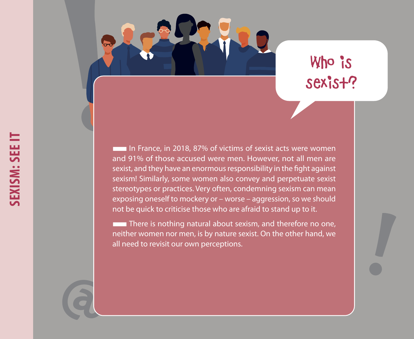

# Who is sexist?

In France, in 2018, 87% of victims of sexist acts were women and 91% of those accused were men. However, not all men are sexist, and they have an enormous responsibility in the fight against sexism! Similarly, some women also convey and perpetuate sexist stereotypes or practices. Very often, condemning sexism can mean exposing oneself to mockery or – worse – aggression, so we should not be quick to criticise those who are afraid to stand up to it.

**There is nothing natural about sexism, and therefore no one,** neither women nor men, is by nature sexist. On the other hand, we all need to revisit our own perceptions.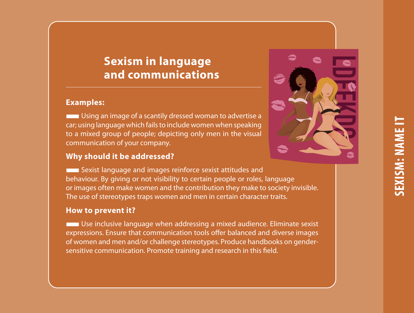# **Sexism in language and communications**

#### **Examples:**

**EXECUTE:** Using an image of a scantily dressed woman to advertise a car; using language which fails to include women when speaking to a mixed group of people; depicting only men in the visual communication of your company.

# **Why should it be addressed?**



■Sexist language and images reinforce sexist attitudes and behaviour. By giving or not visibility to certain people or roles, language or images often make women and the contribution they make to society invisible. The use of stereotypes traps women and men in certain character traits.

#### **How to prevent it?**

**EXECUTE:** Use inclusive language when addressing a mixed audience. Eliminate sexist expressions. Ensure that communication tools offer balanced and diverse images of women and men and/or challenge stereotypes. Produce handbooks on gendersensitive communication. Promote training and research in this field.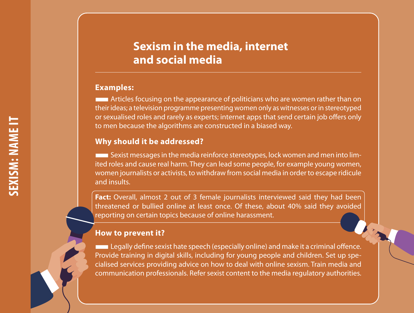# **Sexism in the media, internet and social media**

#### **Examples:**

■Articles focusing on the appearance of politicians who are women rather than on their ideas; a television programme presenting women only as witnesses or in stereotyped or sexualised roles and rarely as experts; internet apps that send certain job offers only to men because the algorithms are constructed in a biased way.

#### **Why should it be addressed?**

■Sexist messages in the media reinforce stereotypes, lock women and men into limited roles and cause real harm. They can lead some people, for example young women, women journalists or activists, to withdraw from social media in order to escape ridicule and insults.

**Fact:** Overall, almost 2 out of 3 female journalists interviewed said they had been threatened or bullied online at least once. Of these, about 40% said they avoided reporting on certain topics because of online harassment.

# **How to prevent it?**

**Legally define sexist hate speech (especially online) and make it a criminal offence.** Provide training in digital skills, including for young people and children. Set up specialised services providing advice on how to deal with online sexism. Train media and communication professionals. Refer sexist content to the media regulatory authorities.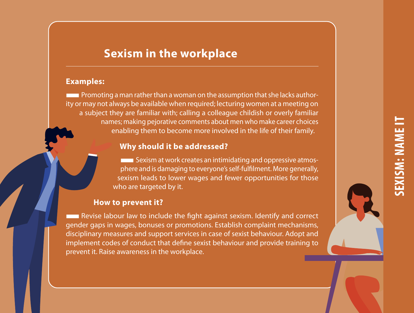# **SEXISM: NAME ITEXISM: NAME**

# **Sexism in the workplace**

**Examples: Brownles:** a man rather than a woman on the assumption that she lacks authority or may not always be available when required; lecturing women at a meeting on a subject they are familiar with; calling a colleague childish or overly familiar names; making pejorative comments about men who make career choices enabling them to become more involved in the life of their family.

**Why should it be addressed?** <br>**■■** Sexism at work creates an intimidating and oppressive atmosphere and is damaging to everyone's self-fulfilment. More generally, sexism leads to lower wages and fewer opportunities for those who are targeted by it.

#### **How to prevent it?**

**EXECUTE:** Revise labour law to include the fight against sexism. Identify and correct gender gaps in wages, bonuses or promotions. Establish complaint mechanisms, disciplinary measures and support services in case of sexist behaviour. Adopt and implement codes of conduct that define sexist behaviour and provide training to prevent it. Raise awareness in the workplace.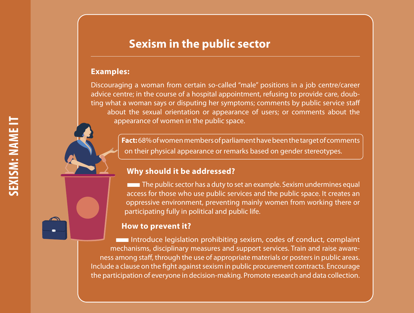# **Sexism in the public sector**

#### **Examples:**

Discouraging a woman from certain so-called "male" positions in a job centre/career advice centre; in the course of a hospital appointment, refusing to provide care, doubting what a woman says or disputing her symptoms; comments by public service staff about the sexual orientation or appearance of users; or comments about the appearance of women in the public space.

> **Fact:** 68% of women members of parliament have been the target of comments on their physical appearance or remarks based on gender stereotypes.

# **Why should it be addressed?**

**The public sector has a duty to set an example. Sexism undermines equal** access for those who use public services and the public space. It creates an oppressive environment, preventing mainly women from working there or participating fully in political and public life.

#### **How to prevent it?**

■Introduce legislation prohibiting sexism, codes of conduct, complaint mechanisms, disciplinary measures and support services. Train and raise awareness among staff, through the use of appropriate materials or posters in public areas. Include a clause on the fight against sexism in public procurement contracts. Encourage the participation of everyone in decision-making. Promote research and data collection.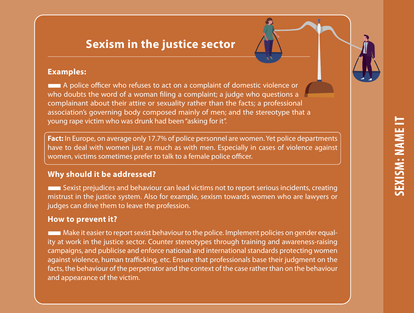# **Sexism in the justice sector**

#### **Examples:**

■A police officer who refuses to act on a complaint of domestic violence or who doubts the word of a woman filing a complaint; a judge who questions a complainant about their attire or sexuality rather than the facts; a professional association's governing body composed mainly of men; and the stereotype that a young rape victim who was drunk had been "asking for it".

**Fact:** In Europe, on average only 17.7% of police personnel are women. Yet police departments have to deal with women just as much as with men. Especially in cases of violence against women, victims sometimes prefer to talk to a female police officer.

# **Why should it be addressed?**

■Sexist prejudices and behaviour can lead victims not to report serious incidents, creating mistrust in the justice system. Also for example, sexism towards women who are lawyers or judges can drive them to leave the profession.

# **How to prevent it?**

■Make it easier to report sexist behaviour to the police. Implement policies on gender equality at work in the justice sector. Counter stereotypes through training and awareness-raising campaigns, and publicise and enforce national and international standards protecting women against violence, human trafficking, etc. Ensure that professionals base their judgment on the facts, the behaviour of the perpetrator and the context of the case rather than on the behaviour and appearance of the victim.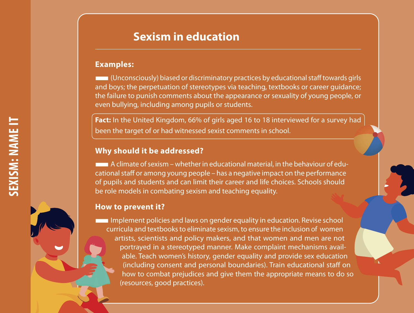# **Sexism in education**

#### **Examples:**

■(Unconsciously) biased or discriminatory practices by educational staff towards girls and boys; the perpetuation of stereotypes via teaching, textbooks or career guidance; the failure to punish comments about the appearance or sexuality of young people, or even bullying, including among pupils or students.

**Fact:** In the United Kingdom, 66% of girls aged 16 to 18 interviewed for a survey had been the target of or had witnessed sexist comments in school.

#### **Why should it be addressed?**

 $\blacksquare$  A climate of sexism – whether in educational material, in the behaviour of educational staff or among young people – has a negative impact on the performance of pupils and students and can limit their career and life choices. Schools should be role models in combating sexism and teaching equality.

# **How to prevent it?**

**IMPLEMENT IMPLEMENT IMPLEMENT IMPLEMENT IMPLIFERENT IMPLIFERENT IMPLIFERENT IMPLIFERENT IMPLIFERENT IMPLIFERENT** curricula and textbooks to eliminate sexism, to ensure the inclusion of women artists, scientists and policy makers, and that women and men are not portrayed in a stereotyped manner. Make complaint mechanisms available. Teach women's history, gender equality and provide sex education (including consent and personal boundaries). Train educational staff on how to combat prejudices and give them the appropriate means to do so (resources, good practices).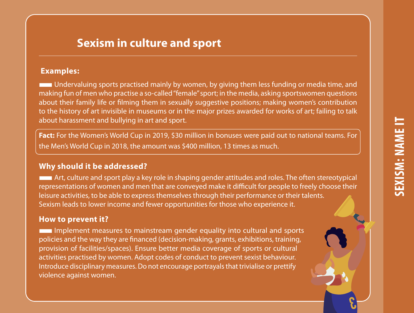**3**

# **Sexism in culture and sport**

#### **Examples:**

■Undervaluing sports practised mainly by women, by giving them less funding or media time, and making fun of men who practise a so-called "female" sport; in the media, asking sportswomen questions about their family life or filming them in sexually suggestive positions; making women's contribution to the history of art invisible in museums or in the major prizes awarded for works of art; failing to talk about harassment and bullying in art and sport.

**Fact:** For the Women's World Cup in 2019, \$30 million in bonuses were paid out to national teams. For the Men's World Cup in 2018, the amount was \$400 million, 13 times as much.

#### **Why should it be addressed?**

■Art, culture and sport play a key role in shaping gender attitudes and roles. The often stereotypical representations of women and men that are conveyed make it difficult for people to freely choose their leisure activities, to be able to express themselves through their performance or their talents. Sexism leads to lower income and fewer opportunities for those who experience it.

#### **How to prevent it?**

■Implement measures to mainstream gender equality into cultural and sports policies and the way they are financed (decision-making, grants, exhibitions, training, provision of facilities/spaces). Ensure better media coverage of sports or cultural activities practised by women. Adopt codes of conduct to prevent sexist behaviour. Introduce disciplinary measures. Do not encourage portrayals that trivialise or prettify violence against women.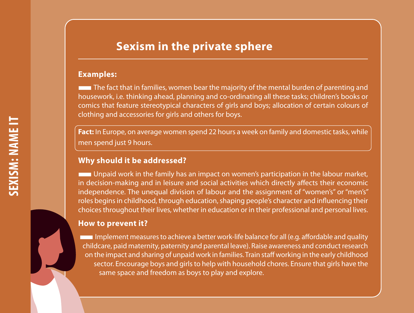# **Sexism in the private sphere**

#### **Examples:**

■The fact that in families, women bear the majority of the mental burden of parenting and housework, i.e. thinking ahead, planning and co-ordinating all these tasks; children's books or comics that feature stereotypical characters of girls and boys; allocation of certain colours of clothing and accessories for girls and others for boys.

**Fact:** In Europe, on average women spend 22 hours a week on family and domestic tasks, while men spend just 9 hours.

# **Why should it be addressed?**

■Unpaid work in the family has an impact on women's participation in the labour market, in decision-making and in leisure and social activities which directly affects their economic independence. The unequal division of labour and the assignment of "women's" or "men's" roles begins in childhood, through education, shaping people's character and influencing their choices throughout their lives, whether in education or in their professional and personal lives.

#### **How to prevent it?**

■Implement measures to achieve a better work-life balance for all (e.g. affordable and quality childcare, paid maternity, paternity and parental leave). Raise awareness and conduct research on the impact and sharing of unpaid work in families. Train staff working in the early childhood sector. Encourage boys and girls to help with household chores. Ensure that girls have the same space and freedom as boys to play and explore.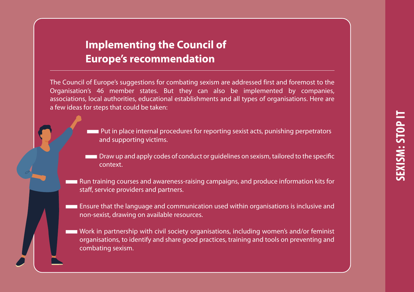# **Implementing the Council of Europe's recommendation**

The Council of Europe's suggestions for combating sexism are addressed first and foremost to the Organisation's 46 member states. But they can also be implemented by companies, associations, local authorities, educational establishments and all types of organisations. Here are a few ideas for steps that could be taken:

- ■Put in place internal procedures for reporting sexist acts, punishing perpetrators and supporting victims.
- **THE DRAW UP and apply codes of conduct or quidelines on sexism, tailored to the specific** context.
- ■Run training courses and awareness-raising campaigns, and produce information kits for staff, service providers and partners.
- **Ensure that the language and communication used within organisations is inclusive and** non-sexist, drawing on available resources.
- ■Work in partnership with civil society organisations, including women's and/or feminist organisations, to identify and share good practices, training and tools on preventing and combating sexism.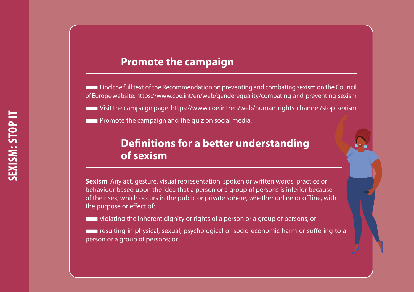# **Promote the campaign**

■Find the full text of the Recommendation on preventing and combating sexism on the Council of Europe website: https://www.coe.int/en/web/genderequality/combating-and-preventing-sexism

■Visit the campaign page: https://www.coe.int/en/web/human-rights-channel/stop-sexism

**EXTERNAL Promote the campaign and the quiz on social media.** 

# **Definitions for a better understanding of sexism**

**Sexism** "Any act, gesture, visual representation, spoken or written words, practice or behaviour based upon the idea that a person or a group of persons is inferior because of their sex, which occurs in the public or private sphere, whether online or offline, with the purpose or effect of:

**EXECUTE:** violating the inherent dignity or rights of a person or a group of persons; or

**Figure 1** resulting in physical, sexual, psychological or socio-economic harm or suffering to a person or a group of persons; or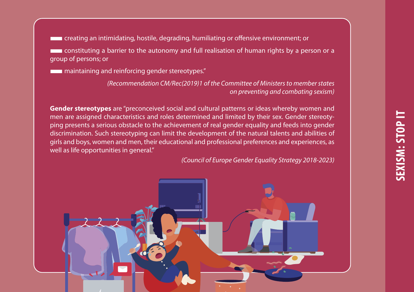■creating an intimidating, hostile, degrading, humiliating or offensive environment; or ■constituting a barrier to the autonomy and full realisation of human rights by a person or a group of persons; or

**EXECUTE:** maintaining and reinforcing gender stereotypes."

*(Recommendation CM/Rec(2019)1 of the Committee of Ministers to member states on preventing and combating sexism)*

**Gender stereotypes** are "preconceived social and cultural patterns or ideas whereby women and men are assigned characteristics and roles determined and limited by their sex. Gender stereotyping presents a serious obstacle to the achievement of real gender equality and feeds into gender discrimination. Such stereotyping can limit the development of the natural talents and abilities of girls and boys, women and men, their educational and professional preferences and experiences, as well as life opportunities in general."

*(Council of Europe Gender Equality Strategy 2018-2023)*